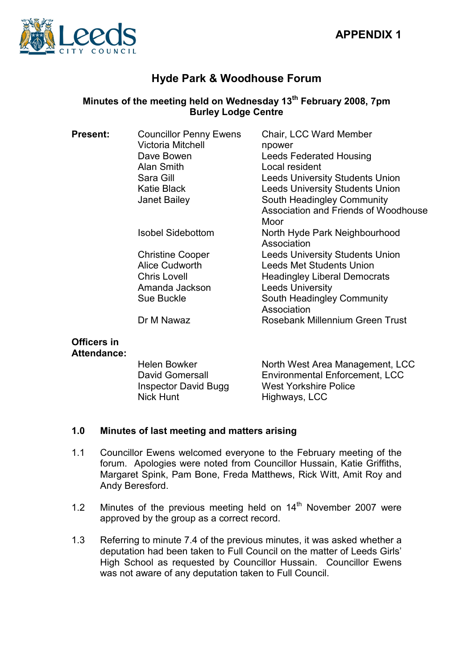

# Hyde Park & Woodhouse Forum

## Minutes of the meeting held on Wednesday  $13<sup>th</sup>$  February 2008, 7pm Burley Lodge Centre

| <b>Present:</b> | <b>Councillor Penny Ewens</b><br><b>Victoria Mitchell</b> | Chair, LCC Ward Member<br>npower             |
|-----------------|-----------------------------------------------------------|----------------------------------------------|
|                 | Dave Bowen                                                | <b>Leeds Federated Housing</b>               |
|                 | Alan Smith                                                | Local resident                               |
|                 | Sara Gill                                                 | <b>Leeds University Students Union</b>       |
|                 | <b>Katie Black</b>                                        | <b>Leeds University Students Union</b>       |
|                 | <b>Janet Bailey</b>                                       | South Headingley Community                   |
|                 |                                                           | Association and Friends of Woodhouse         |
|                 |                                                           | Moor                                         |
|                 | <b>Isobel Sidebottom</b>                                  | North Hyde Park Neighbourhood<br>Association |
|                 | <b>Christine Cooper</b>                                   | <b>Leeds University Students Union</b>       |
|                 | Alice Cudworth                                            | <b>Leeds Met Students Union</b>              |
|                 | <b>Chris Lovell</b>                                       | <b>Headingley Liberal Democrats</b>          |
|                 | Amanda Jackson                                            | <b>Leeds University</b>                      |
|                 | Sue Buckle                                                | South Headingley Community<br>Association    |
|                 | Dr M Nawaz                                                | Rosebank Millennium Green Trust              |

#### Officers in Attendance:

| Helen Bowker                | North West Area Management, LCC |
|-----------------------------|---------------------------------|
| David Gomersall             | Environmental Enforcement, LCC  |
| <b>Inspector David Bugg</b> | <b>West Yorkshire Police</b>    |
| Nick Hunt                   | Highways, LCC                   |

## 1.0 Minutes of last meeting and matters arising

- 1.1 Councillor Ewens welcomed everyone to the February meeting of the forum. Apologies were noted from Councillor Hussain, Katie Griffiths, Margaret Spink, Pam Bone, Freda Matthews, Rick Witt, Amit Roy and Andy Beresford.
- 1.2 Minutes of the previous meeting held on  $14<sup>th</sup>$  November 2007 were approved by the group as a correct record.
- 1.3 Referring to minute 7.4 of the previous minutes, it was asked whether a deputation had been taken to Full Council on the matter of Leeds Girls' High School as requested by Councillor Hussain. Councillor Ewens was not aware of any deputation taken to Full Council.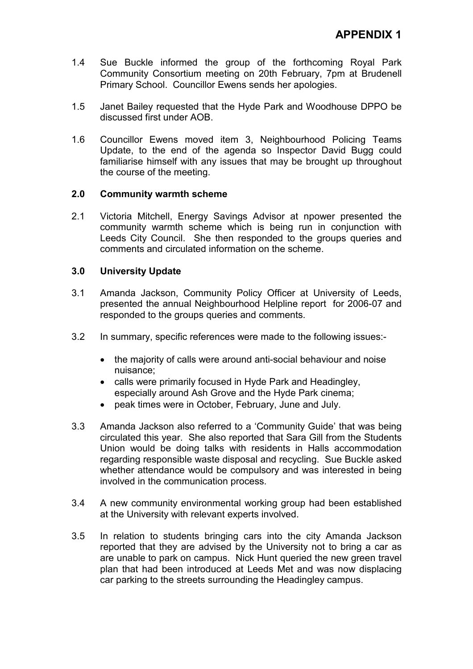- 1.4 Sue Buckle informed the group of the forthcoming Royal Park Community Consortium meeting on 20th February, 7pm at Brudenell Primary School. Councillor Ewens sends her apologies.
- 1.5 Janet Bailey requested that the Hyde Park and Woodhouse DPPO be discussed first under AOB.
- 1.6 Councillor Ewens moved item 3, Neighbourhood Policing Teams Update, to the end of the agenda so Inspector David Bugg could familiarise himself with any issues that may be brought up throughout the course of the meeting.

#### 2.0 Community warmth scheme

2.1 Victoria Mitchell, Energy Savings Advisor at npower presented the community warmth scheme which is being run in conjunction with Leeds City Council. She then responded to the groups queries and comments and circulated information on the scheme.

#### 3.0 University Update

- 3.1 Amanda Jackson, Community Policy Officer at University of Leeds, presented the annual Neighbourhood Helpline report for 2006-07 and responded to the groups queries and comments.
- 3.2 In summary, specific references were made to the following issues:-
	- the majority of calls were around anti-social behaviour and noise nuisance;
	- calls were primarily focused in Hyde Park and Headingley, especially around Ash Grove and the Hyde Park cinema;
	- peak times were in October, February, June and July.
- 3.3 Amanda Jackson also referred to a 'Community Guide' that was being circulated this year. She also reported that Sara Gill from the Students Union would be doing talks with residents in Halls accommodation regarding responsible waste disposal and recycling. Sue Buckle asked whether attendance would be compulsory and was interested in being involved in the communication process.
- 3.4 A new community environmental working group had been established at the University with relevant experts involved.
- 3.5 In relation to students bringing cars into the city Amanda Jackson reported that they are advised by the University not to bring a car as are unable to park on campus. Nick Hunt queried the new green travel plan that had been introduced at Leeds Met and was now displacing car parking to the streets surrounding the Headingley campus.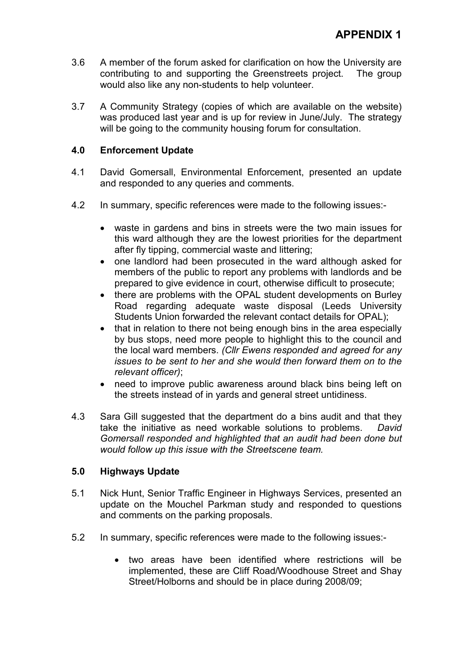- 3.6 A member of the forum asked for clarification on how the University are contributing to and supporting the Greenstreets project. The group would also like any non-students to help volunteer.
- 3.7 A Community Strategy (copies of which are available on the website) was produced last year and is up for review in June/July. The strategy will be going to the community housing forum for consultation.

### 4.0 Enforcement Update

- 4.1 David Gomersall, Environmental Enforcement, presented an update and responded to any queries and comments.
- 4.2 In summary, specific references were made to the following issues:-
	- waste in gardens and bins in streets were the two main issues for this ward although they are the lowest priorities for the department after fly tipping, commercial waste and littering;
	- one landlord had been prosecuted in the ward although asked for members of the public to report any problems with landlords and be prepared to give evidence in court, otherwise difficult to prosecute;
	- there are problems with the OPAL student developments on Burley Road regarding adequate waste disposal (Leeds University Students Union forwarded the relevant contact details for OPAL);
	- that in relation to there not being enough bins in the area especially by bus stops, need more people to highlight this to the council and the local ward members. (Cllr Ewens responded and agreed for any issues to be sent to her and she would then forward them on to the relevant officer);
	- need to improve public awareness around black bins being left on the streets instead of in yards and general street untidiness.
- 4.3 Sara Gill suggested that the department do a bins audit and that they take the initiative as need workable solutions to problems. David Gomersall responded and highlighted that an audit had been done but would follow up this issue with the Streetscene team.

#### 5.0 Highways Update

- 5.1 Nick Hunt, Senior Traffic Engineer in Highways Services, presented an update on the Mouchel Parkman study and responded to questions and comments on the parking proposals.
- 5.2 In summary, specific references were made to the following issues:-
	- two areas have been identified where restrictions will be implemented, these are Cliff Road/Woodhouse Street and Shay Street/Holborns and should be in place during 2008/09;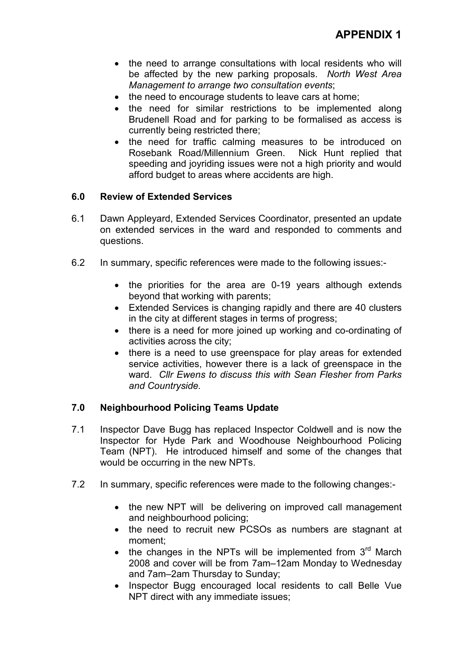- the need to arrange consultations with local residents who will be affected by the new parking proposals. North West Area Management to arrange two consultation events;
- the need to encourage students to leave cars at home;
- the need for similar restrictions to be implemented along Brudenell Road and for parking to be formalised as access is currently being restricted there;
- the need for traffic calming measures to be introduced on Rosebank Road/Millennium Green. Nick Hunt replied that speeding and joyriding issues were not a high priority and would afford budget to areas where accidents are high.

#### 6.0 Review of Extended Services

- 6.1 Dawn Appleyard, Extended Services Coordinator, presented an update on extended services in the ward and responded to comments and questions.
- 6.2 In summary, specific references were made to the following issues:-
	- the priorities for the area are 0-19 years although extends beyond that working with parents;
	- Extended Services is changing rapidly and there are 40 clusters in the city at different stages in terms of progress;
	- there is a need for more joined up working and co-ordinating of activities across the city;
	- there is a need to use greenspace for play areas for extended service activities, however there is a lack of greenspace in the ward. Cllr Ewens to discuss this with Sean Flesher from Parks and Countryside.

## 7.0 Neighbourhood Policing Teams Update

- 7.1 Inspector Dave Bugg has replaced Inspector Coldwell and is now the Inspector for Hyde Park and Woodhouse Neighbourhood Policing Team (NPT). He introduced himself and some of the changes that would be occurring in the new NPTs.
- 7.2 In summary, specific references were made to the following changes:-
	- the new NPT will be delivering on improved call management and neighbourhood policing;
	- the need to recruit new PCSOs as numbers are stagnant at moment;
	- the changes in the NPTs will be implemented from  $3<sup>rd</sup>$  March 2008 and cover will be from 7am–12am Monday to Wednesday and 7am–2am Thursday to Sunday;
	- Inspector Bugg encouraged local residents to call Belle Vue NPT direct with any immediate issues;